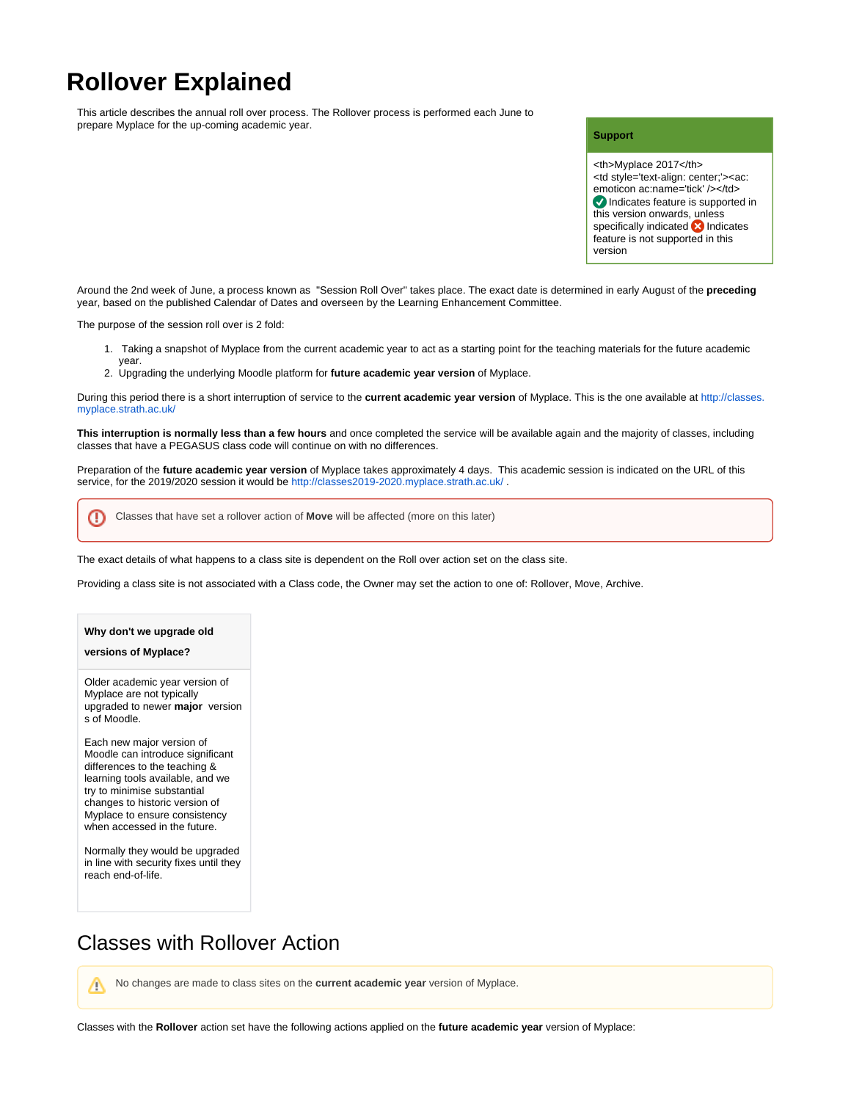# **Rollover Explained**

This article describes the annual roll over process. The Rollover process is performed each June to prepare Myplace for the up-coming academic year.

#### **Support**

<th>Myplace 2017</th> <td style='text-align: center;'><ac: emoticon ac:name='tick' /></td> Indicates feature is supported in this version onwards, unless specifically indicated **X** Indicates feature is not supported in this version

Around the 2nd week of June, a process known as "Session Roll Over" takes place. The exact date is determined in early August of the **preceding** year, based on the published Calendar of Dates and overseen by the Learning Enhancement Committee.

The purpose of the session roll over is 2 fold:

year.

- 1. Taking a snapshot of Myplace from the current academic year to act as a starting point for the teaching materials for the future academic
- 2. Upgrading the underlying Moodle platform for **future academic year version** of Myplace.

During this period there is a short interruption of service to the **current academic year version** of Myplace. This is the one available at [http://classes.](http://classes.myplace.strath.ac.uk/) [myplace.strath.ac.uk/](http://classes.myplace.strath.ac.uk/)

**This interruption is normally less than a few hours** and once completed the service will be available again and the majority of classes, including classes that have a PEGASUS class code will continue on with no differences.

Preparation of the **future academic year version** of Myplace takes approximately 4 days. This academic session is indicated on the URL of this service, for the 2019/2020 session it would be <http://classes2019-2020.myplace.strath.ac.uk/> .

⋒ Classes that have set a rollover action of **Move** will be affected (more on this later)

The exact details of what happens to a class site is dependent on the Roll over action set on the class site.

Providing a class site is not associated with a Class code, the Owner may set the action to one of: Rollover, Move, Archive.

#### **Why don't we upgrade old**

#### **versions of Myplace?**

Older academic year version of Myplace are not typically upgraded to newer **major** version s of Moodle.

Each new major version of Moodle can introduce significant differences to the teaching & learning tools available, and we try to minimise substantial changes to historic version of Myplace to ensure consistency when accessed in the future.

Normally they would be upgraded in line with security fixes until they reach end-of-life.

## Classes with Rollover Action

No changes are made to class sites on the **current academic year** version of Myplace.Λ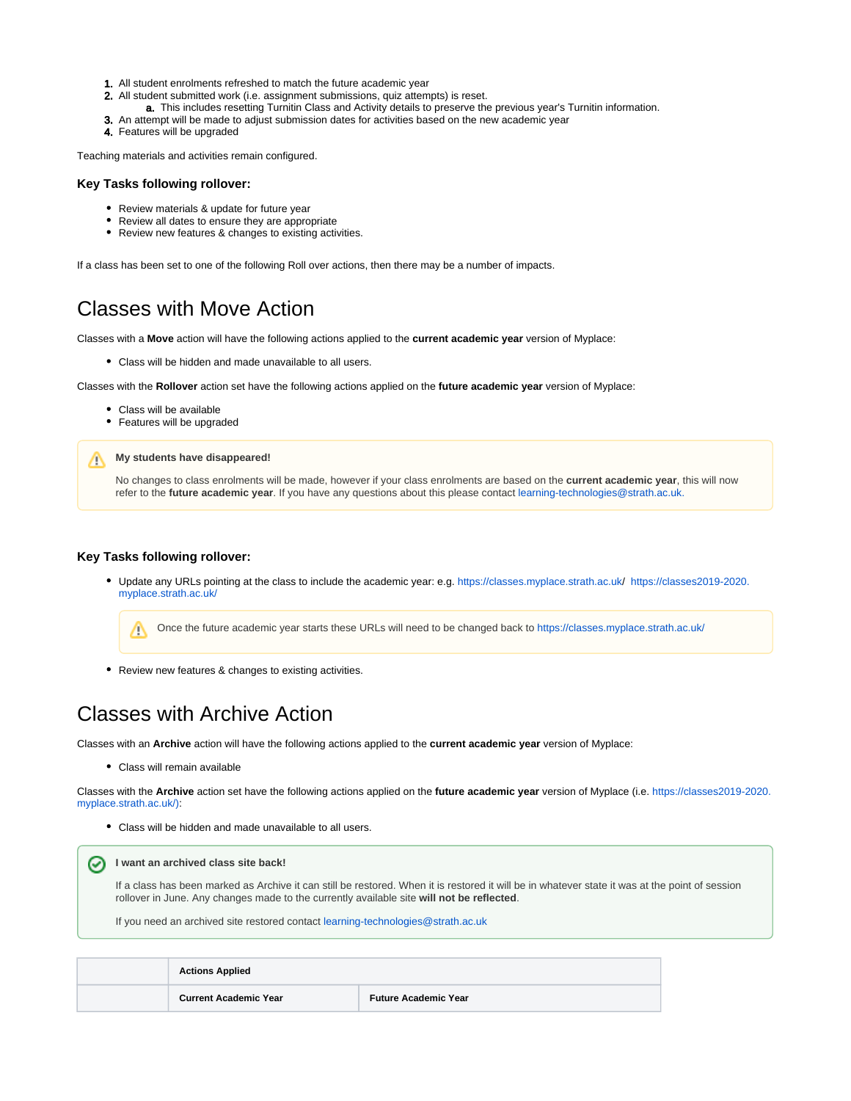- 1. All student enrolments refreshed to match the future academic year
- 2. All student submitted work (i.e. assignment submissions, quiz attempts) is reset.
- a. This includes resetting Turnitin Class and Activity details to preserve the previous year's Turnitin information.
- **3.** An attempt will be made to adjust submission dates for activities based on the new academic year
- 4. Features will be upgraded

Λ

Teaching materials and activities remain configured.

### **Key Tasks following rollover:**

- Review materials & update for future year
- Review all dates to ensure they are appropriate
- Review new features & changes to existing activities.

If a class has been set to one of the following Roll over actions, then there may be a number of impacts.

# Classes with Move Action

Classes with a **Move** action will have the following actions applied to the **current academic year** version of Myplace:

Class will be hidden and made unavailable to all users.

Classes with the **Rollover** action set have the following actions applied on the **future academic year** version of Myplace:

- Class will be available
- Features will be upgraded

### **My students have disappeared!**

No changes to class enrolments will be made, however if your class enrolments are based on the **current academic year**, this will now refer to the **future academic year**. If you have any questions about this please contact [learning-technologies@strath.ac.uk.](mailto:learning-technologies@strath.ac.uk.)

### **Key Tasks following rollover:**

Update any URLs pointing at the class to include the academic year: e.g. [https://classes.myplace.strath.ac.uk/](https://classes.myplace.strath.ac.uk) [https://classes2019-2020.](https://classes2019-2020.myplace.strath.ac.uk/) [myplace.strath.ac.uk/](https://classes2019-2020.myplace.strath.ac.uk/)

Once the future academic year starts these URLs will need to be changed back to <https://classes.myplace.strath.ac.uk/> Δ

Review new features & changes to existing activities.

# Classes with Archive Action

Classes with an **Archive** action will have the following actions applied to the **current academic year** version of Myplace:

Class will remain available

Classes with the **Archive** action set have the following actions applied on the **future academic year** version of Myplace (i.e. [https://classes2019-2020.](https://classes2019-2020.myplace.strath.ac.uk/)) [myplace.strath.ac.uk/\):](https://classes2019-2020.myplace.strath.ac.uk/))

Class will be hidden and made unavailable to all users.

**I want an archived class site back!** ∽

> If a class has been marked as Archive it can still be restored. When it is restored it will be in whatever state it was at the point of session rollover in June. Any changes made to the currently available site **will not be reflected**.

If you need an archived site restored contact [learning-technologies@strath.ac.uk](mailto:learning-technologies@strath.ac.uk)

| <b>Actions Applied</b>       |                             |  |
|------------------------------|-----------------------------|--|
| <b>Current Academic Year</b> | <b>Future Academic Year</b> |  |